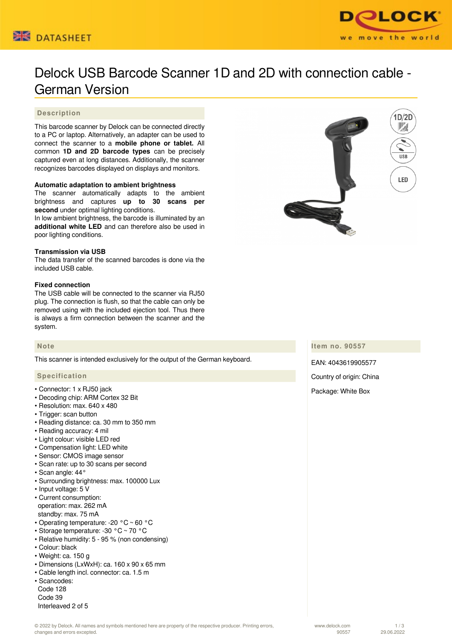



# Delock USB Barcode Scanner 1D and 2D with connection cable - German Version

# **Description**

This barcode scanner by Delock can be connected directly to a PC or laptop. Alternatively, an adapter can be used to connect the scanner to a **mobile phone or tablet.** All common **1D and 2D barcode types** can be precisely captured even at long distances. Additionally, the scanner recognizes barcodes displayed on displays and monitors.

# **Automatic adaptation to ambient brightness**

The scanner automatically adapts to the ambient brightness and captures **up to 30 scans per second** under optimal lighting conditions.

In low ambient brightness, the barcode is illuminated by an **additional white LED** and can therefore also be used in poor lighting conditions.

#### **Transmission via USB**

The data transfer of the scanned barcodes is done via the included USB cable.

#### **Fixed connection**

The USB cable will be connected to the scanner via RJ50 plug. The connection is flush, so that the cable can only be removed using with the included ejection tool. Thus there is always a firm connection between the scanner and the system.

#### **Note**

This scanner is intended exclusively for the output of the German keyboard.

#### **Specification**

- Connector: 1 x RJ50 jack
- Decoding chip: ARM Cortex 32 Bit
- Resolution: max. 640 x 480
- Trigger: scan button
- Reading distance: ca. 30 mm to 350 mm
- Reading accuracy: 4 mil
- Light colour: visible LED red
- Compensation light: LED white
- Sensor: CMOS image sensor
- Scan rate: up to 30 scans per second
- Scan angle: 44°
- Surrounding brightness: max. 100000 Lux
- Input voltage: 5 V
- Current consumption: operation: max. 262 mA standby: max. 75 mA
- Operating temperature: -20 °C ~ 60 °C
- Storage temperature: -30 °C ~ 70 °C
- Relative humidity: 5 95 % (non condensing)
- Colour: black
- Weight: ca. 150 g
- Dimensions (LxWxH): ca. 160 x 90 x 65 mm
- Cable length incl. connector: ca. 1.5 m
- Scancodes: Code 128 Code 39 Interleaved 2 of 5



**Item no. 90557**

EAN: 4043619905577 Country of origin: China Package: White Box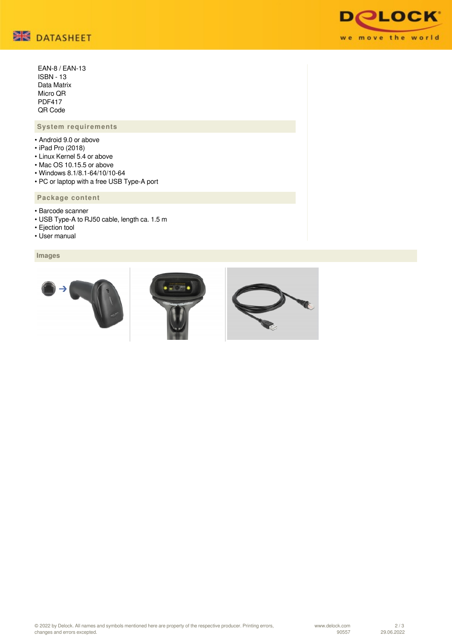

 EAN-8 / EAN-13 ISBN - 13 Data Matrix Micro QR PDF417 QR Code

# **System requirements**

- Android 9.0 or above
- iPad Pro (2018)
- Linux Kernel 5.4 or above
- Mac OS 10.15.5 or above
- Windows 8.1/8.1-64/10/10-64
- PC or laptop with a free USB Type-A port

# **Package content**

- Barcode scanner
- USB Type-A to RJ50 cable, length ca. 1.5 m
- Ejection tool
- User manual

# **Images**